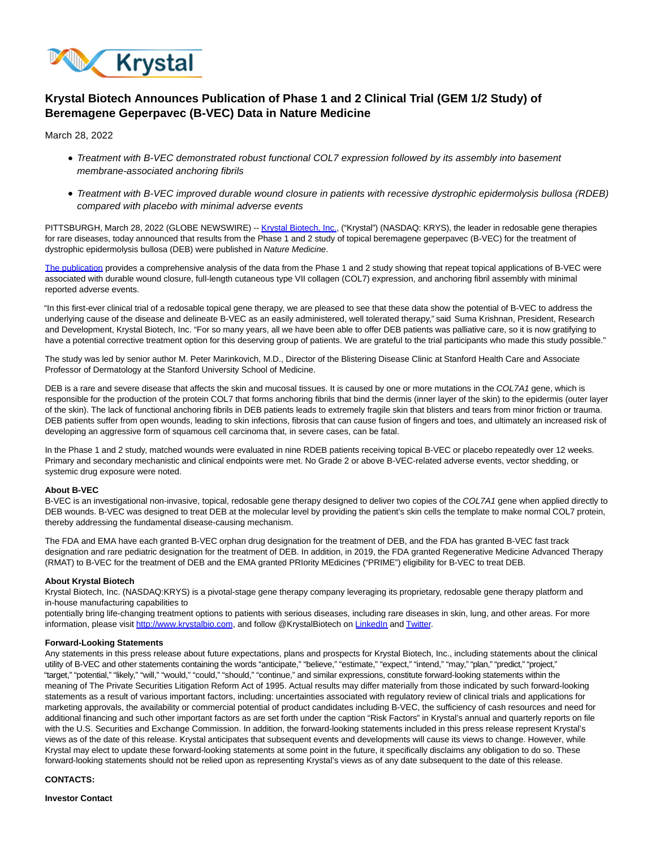

# **Krystal Biotech Announces Publication of Phase 1 and 2 Clinical Trial (GEM 1/2 Study) of Beremagene Geperpavec (B-VEC) Data in Nature Medicine**

March 28, 2022

- Treatment with B-VEC demonstrated robust functional COL7 expression followed by its assembly into basement membrane-associated anchoring fibrils
- Treatment with B-VEC improved durable wound closure in patients with recessive dystrophic epidermolysis bullosa (RDEB) compared with placebo with minimal adverse events

PITTSBURGH, March 28, 2022 (GLOBE NEWSWIRE) -[- Krystal Biotech, Inc.,](https://www.globenewswire.com/Tracker?data=TzKal6xXyWGF-LSa9cDNlH8WFZ3Hv2bK-gQZgO3O5F4PJySaBJIwGEilKDfx6C-LA3E7jdTuOzgbcDAdSsvtLx3-nYb_WsthaVtOLlCCYH8=) ("Krystal") (NASDAQ: KRYS), the leader in redosable gene therapies for rare diseases, today announced that results from the Phase 1 and 2 study of topical beremagene geperpavec (B-VEC) for the treatment of dystrophic epidermolysis bullosa (DEB) were published in Nature Medicine.

[The publication p](https://www.globenewswire.com/Tracker?data=WZsFU9FP4GfBYx_ZFmEI0OiL_fBVa41zxi753gjgPJkWxx0-AmROaQSa2RabCftOI9JR7mWjqeYwKscxbJkmeNM0qun3EdRDa5f0WNaFlIDiUOi5HysYWhYD7i3vtUYQ)rovides a comprehensive analysis of the data from the Phase 1 and 2 study showing that repeat topical applications of B-VEC were associated with durable wound closure, full-length cutaneous type VII collagen (COL7) expression, and anchoring fibril assembly with minimal reported adverse events.

"In this first-ever clinical trial of a redosable topical gene therapy, we are pleased to see that these data show the potential of B-VEC to address the underlying cause of the disease and delineate B-VEC as an easily administered, well tolerated therapy," said Suma Krishnan, President, Research and Development, Krystal Biotech, Inc. "For so many years, all we have been able to offer DEB patients was palliative care, so it is now gratifying to have a potential corrective treatment option for this deserving group of patients. We are grateful to the trial participants who made this study possible."

The study was led by senior author M. Peter Marinkovich, M.D., Director of the Blistering Disease Clinic at Stanford Health Care and Associate Professor of Dermatology at the Stanford University School of Medicine.

DEB is a rare and severe disease that affects the skin and mucosal tissues. It is caused by one or more mutations in the COL7A1 gene, which is responsible for the production of the protein COL7 that forms anchoring fibrils that bind the dermis (inner layer of the skin) to the epidermis (outer layer of the skin). The lack of functional anchoring fibrils in DEB patients leads to extremely fragile skin that blisters and tears from minor friction or trauma. DEB patients suffer from open wounds, leading to skin infections, fibrosis that can cause fusion of fingers and toes, and ultimately an increased risk of developing an aggressive form of squamous cell carcinoma that, in severe cases, can be fatal.

In the Phase 1 and 2 study, matched wounds were evaluated in nine RDEB patients receiving topical B-VEC or placebo repeatedly over 12 weeks. Primary and secondary mechanistic and clinical endpoints were met. No Grade 2 or above B-VEC-related adverse events, vector shedding, or systemic drug exposure were noted.

## **About B-VEC**

B-VEC is an investigational non-invasive, topical, redosable gene therapy designed to deliver two copies of the COL7A1 gene when applied directly to DEB wounds. B-VEC was designed to treat DEB at the molecular level by providing the patient's skin cells the template to make normal COL7 protein, thereby addressing the fundamental disease-causing mechanism.

The FDA and EMA have each granted B-VEC orphan drug designation for the treatment of DEB, and the FDA has granted B-VEC fast track designation and rare pediatric designation for the treatment of DEB. In addition, in 2019, the FDA granted Regenerative Medicine Advanced Therapy (RMAT) to B-VEC for the treatment of DEB and the EMA granted PRIority MEdicines ("PRIME") eligibility for B-VEC to treat DEB.

#### **About Krystal Biotech**

Krystal Biotech, Inc. (NASDAQ:KRYS) is a pivotal-stage gene therapy company leveraging its proprietary, redosable gene therapy platform and in-house manufacturing capabilities to

potentially bring life-changing treatment options to patients with serious diseases, including rare diseases in skin, lung, and other areas. For more information, please visi[t http://www.krystalbio.com,](https://www.globenewswire.com/Tracker?data=bz81oOf7VFC9uQG7rXSHgIleJWC3gBrz1TYrOn_A4AhSatC-qJ1r_9lgH7VlvhF4w2mwcpR3XCNyVkTvYzpOoDzqO-IxAd8jrxRs4j1-oAs=) and follow @KrystalBiotech on [LinkedIn a](https://www.globenewswire.com/Tracker?data=cOjjCjcT4DbMWntqeLxVGxsKszlgSB-1td0hlkI4MkUcKFxgmmsSml-LxXPRtfsaYGj8R_vyl1y9vjDru4T26zjIhLpbkFb1e0i45GH11_IvxlUuVQSSU4vl33jdDU17)n[d Twitter.](https://www.globenewswire.com/Tracker?data=uFBmKYF2MNbyZojleRhNUXIGieE6w4C6qLOf2R4A-ZZm9fz8ox5MW6dkUy0NgX12Y-C0OK3sjSXaPiwRVP6FcA==)

## **Forward-Looking Statements**

Any statements in this press release about future expectations, plans and prospects for Krystal Biotech, Inc., including statements about the clinical utility of B-VEC and other statements containing the words "anticipate," "believe," "estimate," "expect," "intend," "may," "plan," "predict," "project," "target," "potential," "likely," "will," "would," "could," "should," "continue," and similar expressions, constitute forward-looking statements within the meaning of The Private Securities Litigation Reform Act of 1995. Actual results may differ materially from those indicated by such forward-looking statements as a result of various important factors, including: uncertainties associated with regulatory review of clinical trials and applications for marketing approvals, the availability or commercial potential of product candidates including B-VEC, the sufficiency of cash resources and need for additional financing and such other important factors as are set forth under the caption "Risk Factors" in Krystal's annual and quarterly reports on file with the U.S. Securities and Exchange Commission. In addition, the forward-looking statements included in this press release represent Krystal's views as of the date of this release. Krystal anticipates that subsequent events and developments will cause its views to change. However, while Krystal may elect to update these forward-looking statements at some point in the future, it specifically disclaims any obligation to do so. These forward-looking statements should not be relied upon as representing Krystal's views as of any date subsequent to the date of this release.

## **CONTACTS:**